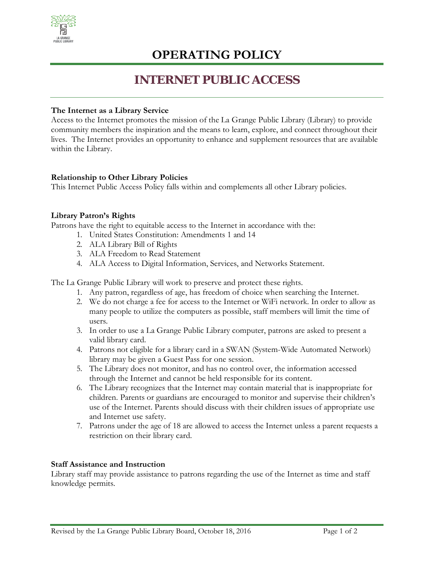

## **OPERATING POLICY**

### **INTERNET PUBLIC ACCESS**

#### **The Internet as a Library Service**

Access to the Internet promotes the mission of the La Grange Public Library (Library) to provide community members the inspiration and the means to learn, explore, and connect throughout their lives. The Internet provides an opportunity to enhance and supplement resources that are available within the Library.

#### **Relationship to Other Library Policies**

This Internet Public Access Policy falls within and complements all other Library policies.

#### **Library Patron's Rights**

Patrons have the right to equitable access to the Internet in accordance with the:

- 1. United States Constitution: Amendments 1 and 14
- 2. ALA Library Bill of Rights
- 3. ALA Freedom to Read Statement
- 4. ALA Access to Digital Information, Services, and Networks Statement.

The La Grange Public Library will work to preserve and protect these rights.

- 1. Any patron, regardless of age, has freedom of choice when searching the Internet.
- 2. We do not charge a fee for access to the Internet or WiFi network. In order to allow as many people to utilize the computers as possible, staff members will limit the time of users.
- 3. In order to use a La Grange Public Library computer, patrons are asked to present a valid library card.
- 4. Patrons not eligible for a library card in a SWAN (System-Wide Automated Network) library may be given a Guest Pass for one session.
- 5. The Library does not monitor, and has no control over, the information accessed through the Internet and cannot be held responsible for its content.
- 6. The Library recognizes that the Internet may contain material that is inappropriate for children. Parents or guardians are encouraged to monitor and supervise their children's use of the Internet. Parents should discuss with their children issues of appropriate use and Internet use safety.
- 7. Patrons under the age of 18 are allowed to access the Internet unless a parent requests a restriction on their library card.

#### **Staff Assistance and Instruction**

Library staff may provide assistance to patrons regarding the use of the Internet as time and staff knowledge permits.